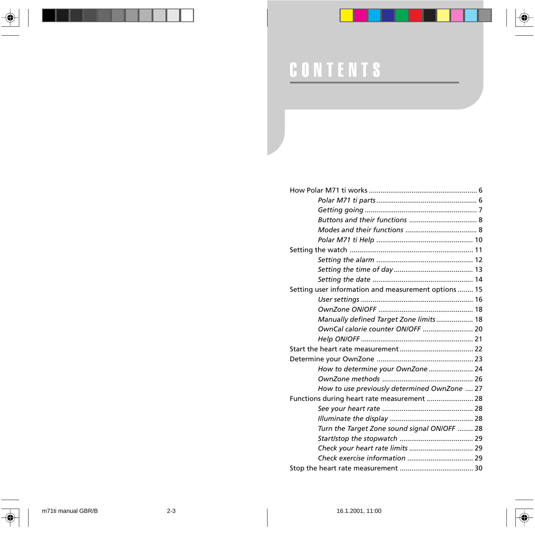

# CONTENTS

| Setting user information and measurement options  15 |                                              |
|------------------------------------------------------|----------------------------------------------|
|                                                      |                                              |
|                                                      |                                              |
|                                                      | Manually defined Target Zone limits 18       |
|                                                      | OwnCal calorie counter ON/OFF  20            |
|                                                      |                                              |
|                                                      |                                              |
|                                                      |                                              |
|                                                      | How to determine your OwnZone 24             |
|                                                      |                                              |
|                                                      | How to use previously determined OwnZone  27 |
| Functions during heart rate measurement  28          |                                              |
|                                                      |                                              |
|                                                      |                                              |
|                                                      | Turn the Target Zone sound signal ON/OFF  28 |
|                                                      |                                              |
|                                                      |                                              |
|                                                      |                                              |
|                                                      |                                              |
|                                                      |                                              |

 $\overline{\blacklozenge}$ 

◈

 $\bf \Phi$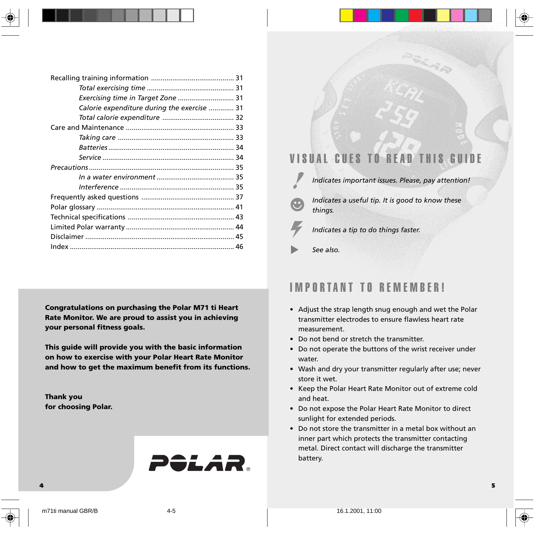| Exercising time in Target Zone  31          |
|---------------------------------------------|
| Calorie expenditure during the exercise  31 |
|                                             |
|                                             |
|                                             |
|                                             |
|                                             |
|                                             |
|                                             |
|                                             |
|                                             |
|                                             |
|                                             |
|                                             |
|                                             |
|                                             |

**Congratulations on purchasing the Polar M71 ti Heart Rate Monitor. We are proud to assist you in achieving your personal fitness goals.**

**This guide will provide you with the basic information on how to exercise with your Polar Heart Rate Monitor and how to get the maximum benefit from its functions.**

**Thank you for choosing Polar.**



## VISUAL CUES TO RE

*Indicates important issues. Please, pay attention!*

*Indicates a useful tip. It is good to know these things.*

*Indicates a tip to do things faster.*

*See also.*

## IMPORTANT TO REMEMBER!

- Adjust the strap length snug enough and wet the Polar transmitter electrodes to ensure flawless heart rate measurement.
- Do not bend or stretch the transmitter.
- Do not operate the buttons of the wrist receiver under water.
- Wash and dry your transmitter regularly after use; never store it wet.
- Keep the Polar Heart Rate Monitor out of extreme cold and heat.
- Do not expose the Polar Heart Rate Monitor to direct sunlight for extended periods.
- Do not store the transmitter in a metal box without an inner part which protects the transmitter contacting metal. Direct contact will discharge the transmitter battery.

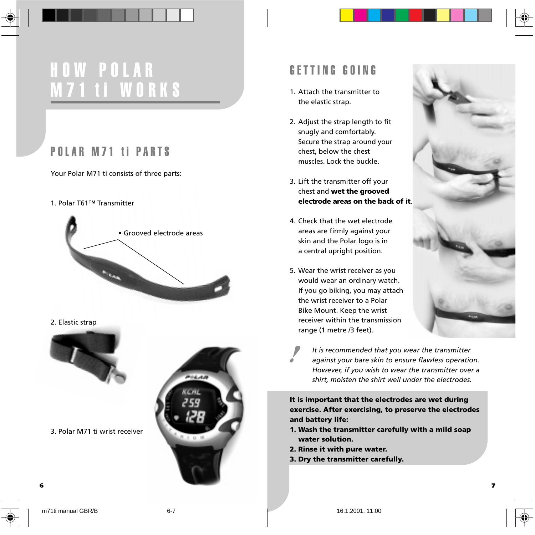## HOW POLAR M71 ti WORKS

## POLAR M71 ti PARTS

Your Polar M71 ti consists of three parts:

#### 1. Polar T61™ Transmitter



#### 2. Elastic strap



3. Polar M71 ti wrist receiver



## GETTING GOING

- 1. Attach the transmitter to the elastic strap.
- 2. Adjust the strap length to fit snugly and comfortably. Secure the strap around your chest, below the chest muscles. Lock the buckle.
- 3. Lift the transmitter off your chest and **wet the grooved electrode areas on the back of it**.
- 4. Check that the wet electrode areas are firmly against your skin and the Polar logo is in a central upright position.
- 5. Wear the wrist receiver as you would wear an ordinary watch. If you go biking, you may attach the wrist receiver to a Polar Bike Mount. Keep the wrist receiver within the transmission range (1 metre /3 feet).



*It is recommended that you wear the transmitter against your bare skin to ensure flawless operation. However, if you wish to wear the transmitter over a shirt, moisten the shirt well under the electrodes.*

**It is important that the electrodes are wet during exercise. After exercising, to preserve the electrodes and battery life:**

- **1. Wash the transmitter carefully with a mild soap water solution.**
- **2. Rinse it with pure water.**
- **3. Dry the transmitter carefully.**



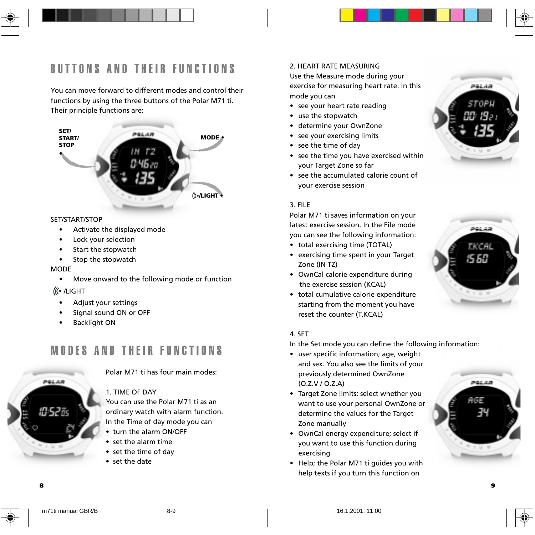

You can move forward to different modes and control their functions by using the three buttons of the Polar M71 ti. Their principle functions are:



#### SET/START/STOP

- Activate the displayed mode
- Lock your selection
- Start the stopwatch
- Stop the stopwatch

#### **MODE**

• Move onward to the following mode or function

### /LIGHT

- Adjust your settings
- Signal sound ON or OFF
- Backlight ON

## MODES AND THEIR FUNCTIONS



Polar M71 ti has four main modes:

### 1. TIME OF DAY

You can use the Polar M71 ti as an ordinary watch with alarm function. In the Time of day mode you can

- turn the alarm ON/OFF
- set the alarm time
- set the time of day
- set the date

#### 2. HEART RATE MEASURING

Use the Measure mode during your exercise for measuring heart rate. In this mode you can

- see your heart rate reading
- use the stopwatch
- determine your OwnZone
- see your exercising limits
- see the time of day
- see the time you have exercised within your Target Zone so far
- see the accumulated calorie count of your exercise session

#### 3. FILE

Polar M71 ti saves information on your latest exercise session. In the File mode you can see the following information:

- total exercising time (TOTAL)
- exercising time spent in your Target Zone (IN TZ)
- OwnCal calorie expenditure during the exercise session (KCAL)
- total cumulative calorie expenditure starting from the moment you have reset the counter (T.KCAL)

### 4. SET

In the Set mode you can define the following information:

- user specific information; age, weight and sex. You also see the limits of your previously determined OwnZone (O.Z.V / O.Z.A)
- Target Zone limits; select whether you want to use your personal OwnZone or determine the values for the Target Zone manually
- OwnCal energy expenditure; select if you want to use this function during exercising
- Help; the Polar M71 ti guides you with help texts if you turn this function on



PêLAR

**8 9**

PALAR AGE



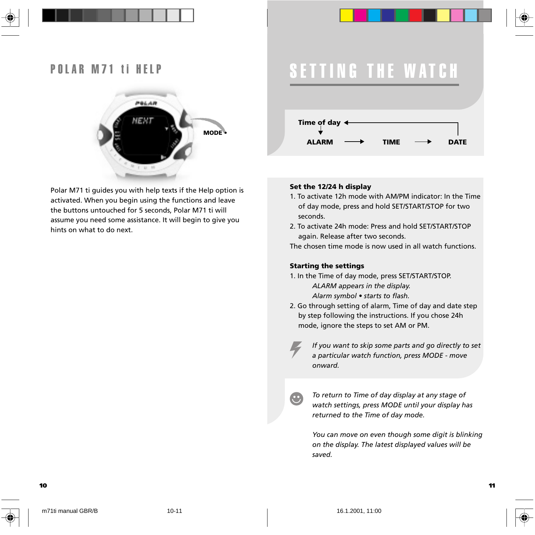



Polar M71 ti guides you with help texts if the Help option is activated. When you begin using the functions and leave the buttons untouched for 5 seconds, Polar M71 ti will assume you need some assistance. It will begin to give you hints on what to do next.

## SETTING THE WATCH



#### **Set the 12/24 h display**

- 1. To activate 12h mode with AM/PM indicator: In the Time of day mode, press and hold SET/START/STOP for two seconds.
- 2. To activate 24h mode: Press and hold SET/START/STOP again. Release after two seconds.

The chosen time mode is now used in all watch functions.

#### **Starting the settings**

œ

- 1. In the Time of day mode, press SET/START/STOP. *ALARM appears in the display. Alarm symbol • starts to flash.*
- 2. Go through setting of alarm, Time of day and date step by step following the instructions. If you chose 24h mode, ignore the steps to set AM or PM.

*If you want to skip some parts and go directly to set a particular watch function, press MODE - move onward.*

*To return to Time of day display at any stage of watch settings, press MODE until your display has returned to the Time of day mode.*

*You can move on even though some digit is blinking on the display. The latest displayed values will be saved.*

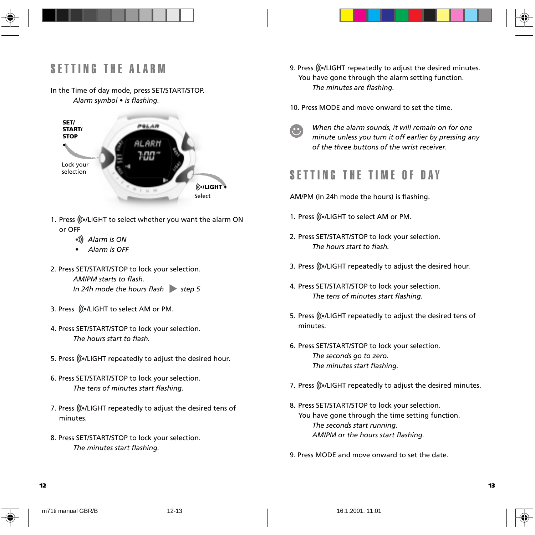

#### In the Time of day mode, press SET/START/STOP. *Alarm symbol • is flashing.*



- 1. Press ((...)LIGHT to select whether you want the alarm ON or OFF
	- *Alarm is ON*
	- *Alarm is OFF*
- 2. Press SET/START/STOP to lock your selection. *AM/PM starts to flash.* In 24h mode the hours flash step 5
- 3. Press ((./LIGHT to select AM or PM.
- 4. Press SET/START/STOP to lock your selection. *The hours start to flash.*
- 5. Press (((.)LIGHT repeatedly to adjust the desired hour.
- 6. Press SET/START/STOP to lock your selection. *The tens of minutes start flashing.*
- 7. Press ((...)LIGHT repeatedly to adjust the desired tens of minutes.
- 8. Press SET/START/STOP to lock your selection. *The minutes start flashing.*
- 9. Press (((.)LIGHT repeatedly to adjust the desired minutes. You have gone through the alarm setting function. *The minutes are flashing.*
- 10. Press MODE and move onward to set the time.
- - *When the alarm sounds, it will remain on for one minute unless you turn it off earlier by pressing any of the three buttons of the wrist receiver.*

## SETTING THE TIME OF DAY

- AM/PM (In 24h mode the hours) is flashing.
- 1. Press (((./LIGHT to select AM or PM.
- 2. Press SET/START/STOP to lock your selection. *The hours start to flash.*
- 3. Press (((.)LIGHT repeatedly to adjust the desired hour.
- 4. Press SET/START/STOP to lock your selection. *The tens of minutes start flashing.*
- 5. Press ((.../LIGHT repeatedly to adjust the desired tens of minutes.
- 6. Press SET/START/STOP to lock your selection. *The seconds go to zero. The minutes start flashing.*
- 7. Press ((...)LIGHT repeatedly to adjust the desired minutes.
- 8. Press SET/START/STOP to lock your selection. You have gone through the time setting function. *The seconds start running. AM/PM or the hours start flashing.*
- 9. Press MODE and move onward to set the date.

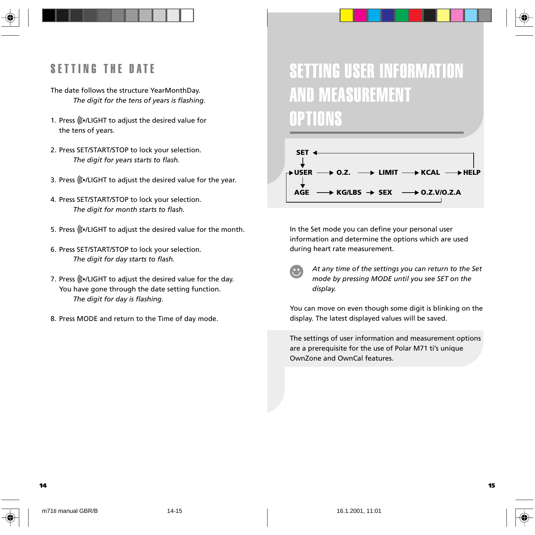## SETTING THE DATE

- The date follows the structure YearMonthDay. *The digit for the tens of years is flashing.*
- 1. Press ((...)LIGHT to adjust the desired value for the tens of years.
- 2. Press SET/START/STOP to lock your selection. *The digit for years starts to flash.*
- 3. Press (((.)LIGHT to adjust the desired value for the year.
- 4. Press SET/START/STOP to lock your selection. *The digit for month starts to flash.*
- 5. Press ((...)LIGHT to adjust the desired value for the month.
- 6. Press SET/START/STOP to lock your selection. *The digit for day starts to flash.*
- 7. Press (((.)LIGHT to adjust the desired value for the day. You have gone through the date setting function. *The digit for day is flashing.*
- 8. Press MODE and return to the Time of day mode.

## SETTING USER INFORMATION AND MEASUREMENT OPTIONS



In the Set mode you can define your personal user information and determine the options which are used during heart rate measurement.

*At any time of the settings you can return to the Set mode by pressing MODE until you see SET on the display.*

You can move on even though some digit is blinking on the display. The latest displayed values will be saved.

The settings of user information and measurement options are a prerequisite for the use of Polar M71 ti's unique OwnZone and OwnCal features.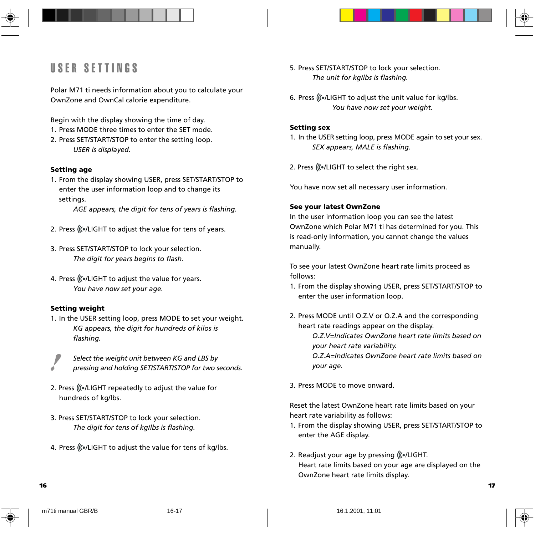## USER SETTINGS

Polar M71 ti needs information about you to calculate your OwnZone and OwnCal calorie expenditure.

Begin with the display showing the time of day.

- 1. Press MODE three times to enter the SET mode.
- 2. Press SET/START/STOP to enter the setting loop. *USER is displayed.*

#### **Setting age**

1. From the display showing USER, press SET/START/STOP to enter the user information loop and to change its settings.

*AGE appears, the digit for tens of years is flashing.*

- 2. Press ((...)LIGHT to adjust the value for tens of years.
- 3. Press SET/START/STOP to lock your selection. *The digit for years begins to flash.*
- 4. Press ((...)LIGHT to adjust the value for years. *You have now set your age.*

#### **Setting weight**

- 1. In the USER setting loop, press MODE to set your weight. *KG appears, the digit for hundreds of kilos is flashing.*
	- *Select the weight unit between KG and LBS by pressing and holding SET/START/STOP for two seconds.*
- 2. Press ((...)LIGHT repeatedly to adjust the value for hundreds of kg/lbs.
- 3. Press SET/START/STOP to lock your selection. *The digit for tens of kg/lbs is flashing.*
- 4. Press ((...)LIGHT to adjust the value for tens of kg/lbs.
- 5. Press SET/START/STOP to lock your selection. *The unit for kg/lbs is flashing.*
- 6. Press ((../LIGHT to adjust the unit value for kg/lbs. *You have now set your weight.*

#### **Setting sex**

1. In the USER setting loop, press MODE again to set your sex. *SEX appears, MALE is flashing.*

2. Press (((./LIGHT to select the right sex.

You have now set all necessary user information.

#### **See your latest OwnZone**

In the user information loop you can see the latest OwnZone which Polar M71 ti has determined for you. This is read-only information, you cannot change the values manually.

To see your latest OwnZone heart rate limits proceed as follows:

- 1. From the display showing USER, press SET/START/STOP to enter the user information loop.
- 2. Press MODE until O.Z.V or O.Z.A and the corresponding heart rate readings appear on the display.

*O.Z.V=Indicates OwnZone heart rate limits based on your heart rate variability. O.Z.A=Indicates OwnZone heart rate limits based on*

*your age.*

3. Press MODE to move onward.

Reset the latest OwnZone heart rate limits based on your heart rate variability as follows:

- 1. From the display showing USER, press SET/START/STOP to enter the AGE display.
- 2. Readjust your age by pressing ((./LIGHT.) Heart rate limits based on your age are displayed on the OwnZone heart rate limits display.



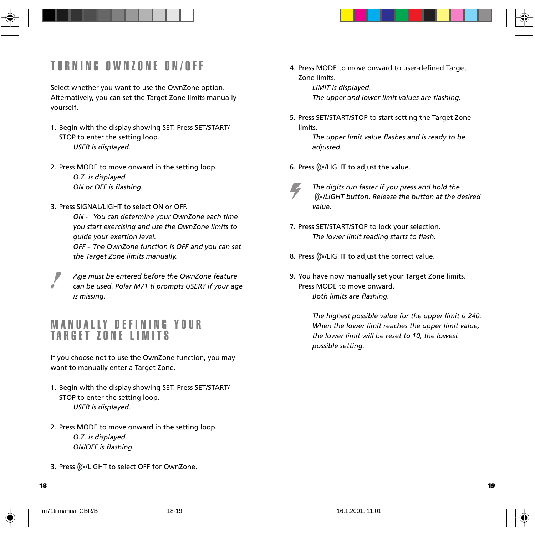## TURNING OWNZONE ON/OFF

Select whether you want to use the OwnZone option. Alternatively, you can set the Target Zone limits manually yourself.

- 1. Begin with the display showing SET. Press SET/START/ STOP to enter the setting loop. *USER is displayed.*
- 2. Press MODE to move onward in the setting loop. *O.Z. is displayed ON or OFF is flashing.*
- 3. Press SIGNAL/LIGHT to select ON or OFF.

*ON - You can determine your OwnZone each time you start exercising and use the OwnZone limits to guide your exertion level.*

*OFF - The OwnZone function is OFF and you can set the Target Zone limits manually.*

*Age must be entered before the OwnZone feature can be used. Polar M71 ti prompts USER? if your age is missing.*

## MANUALLY DEFINING YOUR TARGET ZONE LIMITS

If you choose not to use the OwnZone function, you may want to manually enter a Target Zone.

- 1. Begin with the display showing SET. Press SET/START/ STOP to enter the setting loop. *USER is displayed.*
- 2. Press MODE to move onward in the setting loop. *O.Z. is displayed. ON/OFF is flashing.*
- 3. Press (((./LIGHT to select OFF for OwnZone.

4. Press MODE to move onward to user-defined Target Zone limits.

*LIMIT is displayed.*

*The upper and lower limit values are flashing.*

5. Press SET/START/STOP to start setting the Target Zone limits.

> *The upper limit value flashes and is ready to be adjusted.*

- 6. Press (((./LIGHT to adjust the value.
	- *The digits run faster if you press and hold the /LIGHT button. Release the button at the desired value.*
- 7. Press SET/START/STOP to lock your selection. *The lower limit reading starts to flash.*
- 8. Press ((.../LIGHT to adjust the correct value.
- 9. You have now manually set your Target Zone limits. Press MODE to move onward. *Both limits are flashing.*

*The highest possible value for the upper limit is 240. When the lower limit reaches the upper limit value, the lower limit will be reset to 10, the lowest possible setting.*

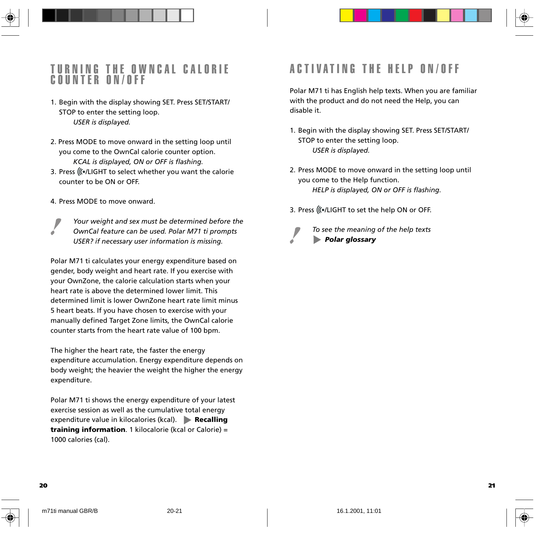### TURNING THE OWNCAL CALORIE COUNTER ON/OFF

- 1. Begin with the display showing SET. Press SET/START/ STOP to enter the setting loop. *USER is displayed.*
- 2. Press MODE to move onward in the setting loop until you come to the OwnCal calorie counter option. *KCAL is displayed, ON or OFF is flashing.*
- 3. Press ((...)LIGHT to select whether you want the calorie counter to be ON or OFF.
- 4. Press MODE to move onward.
- *Your weight and sex must be determined before the OwnCal feature can be used. Polar M71 ti prompts USER? if necessary user information is missing.*

Polar M71 ti calculates your energy expenditure based on gender, body weight and heart rate. If you exercise with your OwnZone, the calorie calculation starts when your heart rate is above the determined lower limit. This determined limit is lower OwnZone heart rate limit minus 5 heart beats. If you have chosen to exercise with your manually defined Target Zone limits, the OwnCal calorie counter starts from the heart rate value of 100 bpm.

The higher the heart rate, the faster the energy expenditure accumulation. Energy expenditure depends on body weight; the heavier the weight the higher the energy expenditure.

Polar M71 ti shows the energy expenditure of your latest exercise session as well as the cumulative total energy expenditure value in kilocalories (kcal). **Recalling training information**. 1 kilocalorie (kcal or Calorie) = 1000 calories (cal).

## ACTIVATING THE HELP ON/OFF

Polar M71 ti has English help texts. When you are familiar with the product and do not need the Help, you can disable it.

- 1. Begin with the display showing SET. Press SET/START/ STOP to enter the setting loop. *USER is displayed.*
- 2. Press MODE to move onward in the setting loop until you come to the Help function. *HELP is displayed, ON or OFF is flashing.*
- 3. Press ((.../LIGHT to set the help ON or OFF.



*To see the meaning of the help texts* **Polar glossary**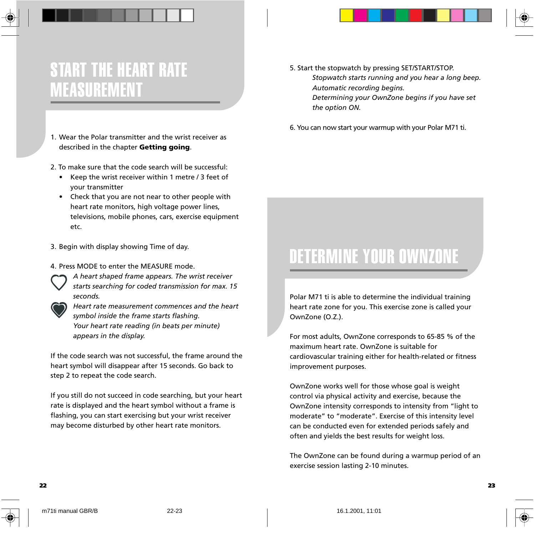

1. Wear the Polar transmitter and the wrist receiver as described in the chapter **Getting going**.

2. To make sure that the code search will be successful:

- Keep the wrist receiver within 1 metre / 3 feet of your transmitter
- Check that you are not near to other people with heart rate monitors, high voltage power lines, televisions, mobile phones, cars, exercise equipment etc.
- 3. Begin with display showing Time of day.
- 4. Press MODE to enter the MEASURE mode.
	- *A heart shaped frame appears. The wrist receiver starts searching for coded transmission for max. 15 seconds.*



If the code search was not successful, the frame around the heart symbol will disappear after 15 seconds. Go back to step 2 to repeat the code search.

If you still do not succeed in code searching, but your heart rate is displayed and the heart symbol without a frame is flashing, you can start exercising but your wrist receiver may become disturbed by other heart rate monitors.

- 5. Start the stopwatch by pressing SET/START/STOP. *Stopwatch starts running and you hear a long beep. Automatic recording begins. Determining your OwnZone begins if you have set the option ON.*
- 6. You can now start your warmup with your Polar M71 ti.

## DETERMINE YOUR OWNZONE

Polar M71 ti is able to determine the individual training heart rate zone for you. This exercise zone is called your OwnZone (O.Z.).

For most adults, OwnZone corresponds to 65-85 % of the maximum heart rate. OwnZone is suitable for cardiovascular training either for health-related or fitness improvement purposes.

OwnZone works well for those whose goal is weight control via physical activity and exercise, because the OwnZone intensity corresponds to intensity from "light to moderate" to "moderate". Exercise of this intensity level can be conducted even for extended periods safely and often and yields the best results for weight loss.

The OwnZone can be found during a warmup period of an exercise session lasting 2-10 minutes.

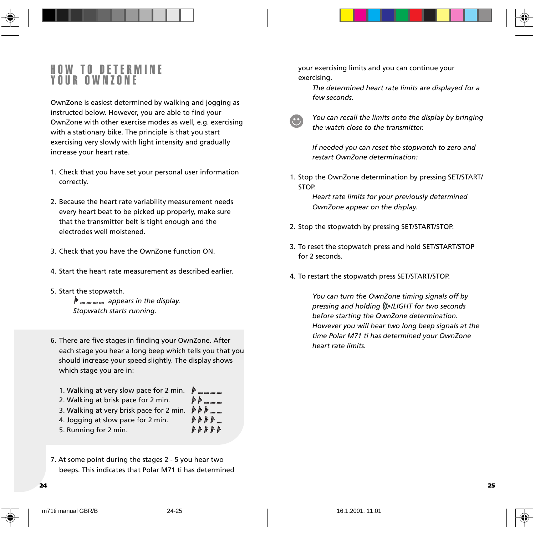## HOW TO DETERMINE YOUR OWNZONE

OwnZone is easiest determined by walking and jogging as instructed below. However, you are able to find your OwnZone with other exercise modes as well, e.g. exercising with a stationary bike. The principle is that you start exercising very slowly with light intensity and gradually increase your heart rate.

- 1. Check that you have set your personal user information correctly.
- 2. Because the heart rate variability measurement needs every heart beat to be picked up properly, make sure that the transmitter belt is tight enough and the electrodes well moistened.
- 3. Check that you have the OwnZone function ON.
- 4. Start the heart rate measurement as described earlier.
- 5. Start the stopwatch.  *appears in the display. Stopwatch starts running.*
- 6. There are five stages in finding your OwnZone. After each stage you hear a long beep which tells you that you should increase your speed slightly. The display shows which stage you are in:

| 1. Walking at very slow pace for 2 min.  | $\mathbb{P}$ and the set of the set |
|------------------------------------------|-------------------------------------|
| 2. Walking at brisk pace for 2 min.      |                                     |
| 3. Walking at very brisk pace for 2 min. | <b>APP</b>                          |
| 4. Jogging at slow pace for 2 min.       | $* * * * $                          |
| 5. Running for 2 min.                    | h h h h h h                         |
|                                          |                                     |

7. At some point during the stages 2 - 5 you hear two beeps. This indicates that Polar M71 ti has determined your exercising limits and you can continue your exercising.

*The determined heart rate limits are displayed for a few seconds.*



*You can recall the limits onto the display by bringing the watch close to the transmitter.*

*If needed you can reset the stopwatch to zero and restart OwnZone determination:*

1. Stop the OwnZone determination by pressing SET/START/ STOP.

> *Heart rate limits for your previously determined OwnZone appear on the display.*

- 2. Stop the stopwatch by pressing SET/START/STOP.
- 3. To reset the stopwatch press and hold SET/START/STOP for 2 seconds.
- 4. To restart the stopwatch press SET/START/STOP.

*You can turn the OwnZone timing signals off by pressing and holding /LIGHT for two seconds before starting the OwnZone determination. However you will hear two long beep signals at the time Polar M71 ti has determined your OwnZone heart rate limits.*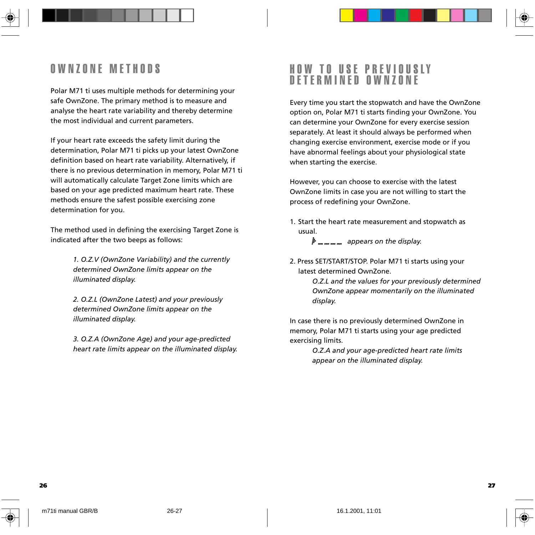## OWNZONE METHODS

Polar M71 ti uses multiple methods for determining your safe OwnZone. The primary method is to measure and analyse the heart rate variability and thereby determine the most individual and current parameters.

If your heart rate exceeds the safety limit during the determination, Polar M71 ti picks up your latest OwnZone definition based on heart rate variability. Alternatively, if there is no previous determination in memory, Polar M71 ti will automatically calculate Target Zone limits which are based on your age predicted maximum heart rate. These methods ensure the safest possible exercising zone determination for you.

The method used in defining the exercising Target Zone is indicated after the two beeps as follows:

> *1. O.Z.V (OwnZone Variability) and the currently determined OwnZone limits appear on the illuminated display.*

*2. O.Z.L (OwnZone Latest) and your previously determined OwnZone limits appear on the illuminated display.*

*3. O.Z.A (OwnZone Age) and your age-predicted heart rate limits appear on the illuminated display.*

## HOW TO USE PREVIOUSLY DETERMINED OWNZONE

Every time you start the stopwatch and have the OwnZone option on, Polar M71 ti starts finding your OwnZone. You can determine your OwnZone for every exercise session separately. At least it should always be performed when changing exercise environment, exercise mode or if you have abnormal feelings about your physiological state when starting the exercise.

However, you can choose to exercise with the latest OwnZone limits in case you are not willing to start the process of redefining your OwnZone.

1. Start the heart rate measurement and stopwatch as usual.

 *appears on the display.*

2. Press SET/START/STOP. Polar M71 ti starts using your latest determined OwnZone.

> *O.Z.L and the values for your previously determined OwnZone appear momentarily on the illuminated display.*

In case there is no previously determined OwnZone in memory, Polar M71 ti starts using your age predicted exercising limits.

> *O.Z.A and your age-predicted heart rate limits appear on the illuminated display.*

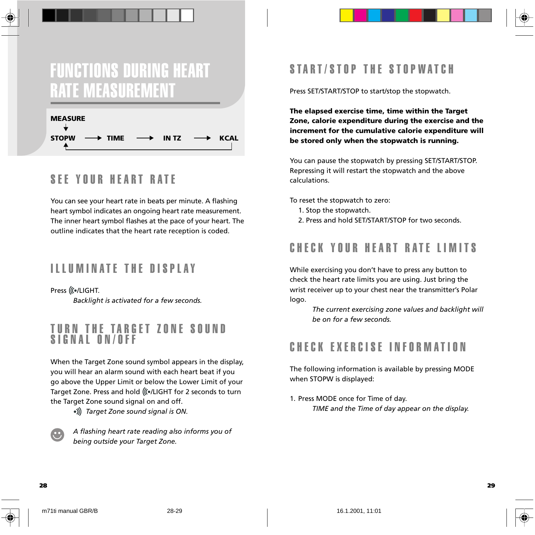## FUNCTIONS DURING HEART RATE MEASUREMENT



## SEE YOUR HEART RATE

You can see your heart rate in beats per minute. A flashing heart symbol indicates an ongoing heart rate measurement. The inner heart symbol flashes at the pace of your heart. The outline indicates that the heart rate reception is coded.

## ILLUMINATE THE DISPLAY

Press (((./LIGHT. *Backlight is activated for a few seconds.*

## TURN THE TARGET ZONE SOUND SIGNAL ON/OFF

When the Target Zone sound symbol appears in the display, you will hear an alarm sound with each heart beat if you go above the Upper Limit or below the Lower Limit of your Target Zone. Press and hold (((.)LIGHT for 2 seconds to turn the Target Zone sound signal on and off.

 *Target Zone sound signal is ON.*

*A flashing heart rate reading also informs you of being outside your Target Zone.*

## START/STOP THE STOPWATCH

Press SET/START/STOP to start/stop the stopwatch.

**The elapsed exercise time, time within the Target Zone, calorie expenditure during the exercise and the increment for the cumulative calorie expenditure will be stored only when the stopwatch is running.**

You can pause the stopwatch by pressing SET/START/STOP. Repressing it will restart the stopwatch and the above calculations.

To reset the stopwatch to zero:

- 1. Stop the stopwatch.
- 2. Press and hold SET/START/STOP for two seconds.

## CHECK YOUR HEART RATE LIMITS

While exercising you don't have to press any button to check the heart rate limits you are using. Just bring the wrist receiver up to your chest near the transmitter's Polar logo.

> *The current exercising zone values and backlight will be on for a few seconds.*

## CHECK EXERCISE INFORMATION

The following information is available by pressing MODE when STOPW is displayed:

1. Press MODE once for Time of day. *TIME and the Time of day appear on the display.*

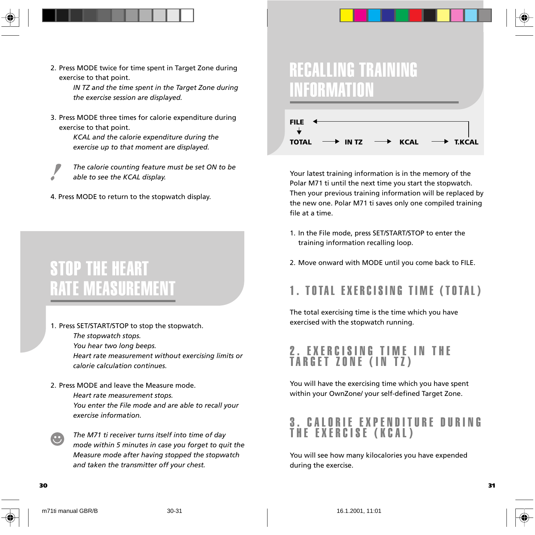- - 2. Press MODE twice for time spent in Target Zone during exercise to that point.

*IN TZ and the time spent in the Target Zone during the exercise session are displayed.*

3. Press MODE three times for calorie expenditure during exercise to that point.

> *KCAL and the calorie expenditure during the exercise up to that moment are displayed.*

*The calorie counting feature must be set ON to be able to see the KCAL display.*

4. Press MODE to return to the stopwatch display.

## STOP THE HEART RATE MEASUREMENT

1. Press SET/START/STOP to stop the stopwatch.

*The stopwatch stops. You hear two long beeps. Heart rate measurement without exercising limits or calorie calculation continues.*

### 2. Press MODE and leave the Measure mode.

*Heart rate measurement stops. You enter the File mode and are able to recall your exercise information.*

*The M71 ti receiver turns itself into time of day mode within 5 minutes in case you forget to quit the Measure mode after having stopped the stopwatch and taken the transmitter off your chest.*

## RECALLING TRAINING INFORMATION



Your latest training information is in the memory of the Polar M71 ti until the next time you start the stopwatch. Then your previous training information will be replaced by the new one. Polar M71 ti saves only one compiled training file at a time.

- 1. In the File mode, press SET/START/STOP to enter the training information recalling loop.
- 2. Move onward with MODE until you come back to FILE.

## 1. TOTAL EXERCISING TIME (TOTAL)

The total exercising time is the time which you have exercised with the stopwatch running.

## 2. EXERCISING TIME IN THE TARGET ZONE (IN TZ)

You will have the exercising time which you have spent within your OwnZone/ your self-defined Target Zone.

## LORIE EXPENDITURE DURING THE EXERCISE (KCAL)

You will see how many kilocalories you have expended during the exercise.

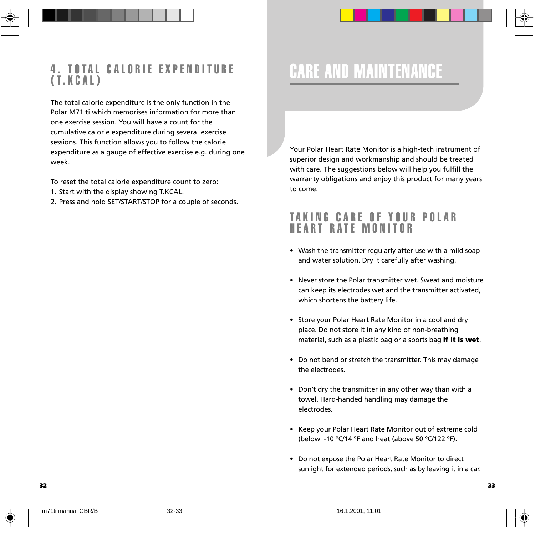

The total calorie expenditure is the only function in the Polar M71 ti which memorises information for more than one exercise session. You will have a count for the cumulative calorie expenditure during several exercise sessions. This function allows you to follow the calorie expenditure as a gauge of effective exercise e.g. during one week.

To reset the total calorie expenditure count to zero:

- 1. Start with the display showing T.KCAL.
- 2. Press and hold SET/START/STOP for a couple of seconds.

## CARE AND MAINTENANCE

Your Polar Heart Rate Monitor is a high-tech instrument of superior design and workmanship and should be treated with care. The suggestions below will help you fulfill the warranty obligations and enjoy this product for many years to come.

### TAKING CARE OF YOUR POLAR HEART RATE MONITOR

- Wash the transmitter regularly after use with a mild soap and water solution. Dry it carefully after washing.
- Never store the Polar transmitter wet. Sweat and moisture can keep its electrodes wet and the transmitter activated, which shortens the battery life.
- Store your Polar Heart Rate Monitor in a cool and dry place. Do not store it in any kind of non-breathing material, such as a plastic bag or a sports bag **if it is wet**.
- Do not bend or stretch the transmitter. This may damage the electrodes.
- Don't dry the transmitter in any other way than with a towel. Hard-handed handling may damage the electrodes.
- Keep your Polar Heart Rate Monitor out of extreme cold (below -10 ºC/14 ºF and heat (above 50 ºC/122 ºF).
- Do not expose the Polar Heart Rate Monitor to direct sunlight for extended periods, such as by leaving it in a car.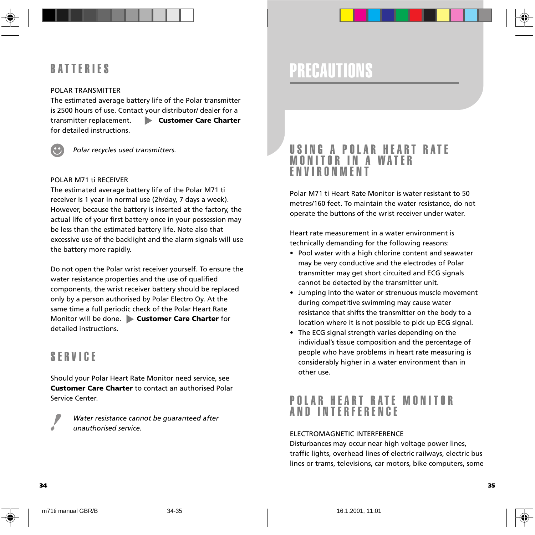## BATTERIES

#### POLAR TRANSMITTER

The estimated average battery life of the Polar transmitter is 2500 hours of use. Contact your distributor/ dealer for a transmitter replacement. **Customer Care Charter** for detailed instructions.



*Polar recycles used transmitters.*

#### POLAR M71 ti RECEIVER

The estimated average battery life of the Polar M71 ti receiver is 1 year in normal use (2h/day, 7 days a week). However, because the battery is inserted at the factory, the actual life of your first battery once in your possession may be less than the estimated battery life. Note also that excessive use of the backlight and the alarm signals will use the battery more rapidly.

Do not open the Polar wrist receiver yourself. To ensure the water resistance properties and the use of qualified components, the wrist receiver battery should be replaced only by a person authorised by Polar Electro Oy. At the same time a full periodic check of the Polar Heart Rate Monitor will be done. **Customer Care Charter** for detailed instructions.

### SERVICE

Should your Polar Heart Rate Monitor need service, see **Customer Care Charter** to contact an authorised Polar Service Center.

> *Water resistance cannot be guaranteed after unauthorised service.*

## PRECAUTIONS

### USING A POLAR HEART RATE MONITOR IN A WATER ENVIRONMENT

Polar M71 ti Heart Rate Monitor is water resistant to 50 metres/160 feet. To maintain the water resistance, do not operate the buttons of the wrist receiver under water.

Heart rate measurement in a water environment is technically demanding for the following reasons:

- Pool water with a high chlorine content and seawater may be very conductive and the electrodes of Polar transmitter may get short circuited and ECG signals cannot be detected by the transmitter unit.
- Jumping into the water or strenuous muscle movement during competitive swimming may cause water resistance that shifts the transmitter on the body to a location where it is not possible to pick up ECG signal.
- The ECG signal strength varies depending on the individual's tissue composition and the percentage of people who have problems in heart rate measuring is considerably higher in a water environment than in other use.

## POLAR HEART RATE MONITOR AND INTERFERENCE

#### ELECTROMAGNETIC INTERFERENCE

Disturbances may occur near high voltage power lines, traffic lights, overhead lines of electric railways, electric bus lines or trams, televisions, car motors, bike computers, some



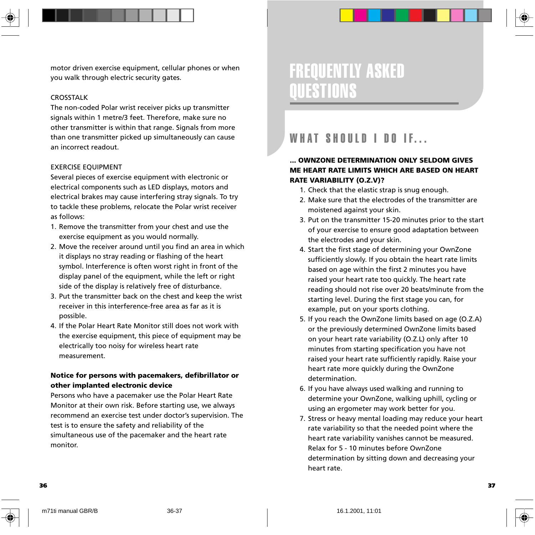

motor driven exercise equipment, cellular phones or when you walk through electric security gates.

#### CROSSTALK

The non-coded Polar wrist receiver picks up transmitter signals within 1 metre/3 feet. Therefore, make sure no other transmitter is within that range. Signals from more than one transmitter picked up simultaneously can cause an incorrect readout.

#### EXERCISE EQUIPMENT

Several pieces of exercise equipment with electronic or electrical components such as LED displays, motors and electrical brakes may cause interfering stray signals. To try to tackle these problems, relocate the Polar wrist receiver as follows:

- 1. Remove the transmitter from your chest and use the exercise equipment as you would normally.
- 2. Move the receiver around until you find an area in which it displays no stray reading or flashing of the heart symbol. Interference is often worst right in front of the display panel of the equipment, while the left or right side of the display is relatively free of disturbance.
- 3. Put the transmitter back on the chest and keep the wrist receiver in this interference-free area as far as it is possible.
- 4. If the Polar Heart Rate Monitor still does not work with the exercise equipment, this piece of equipment may be electrically too noisy for wireless heart rate measurement.

### **Notice for persons with pacemakers, defibrillator or other implanted electronic device**

Persons who have a pacemaker use the Polar Heart Rate Monitor at their own risk. Before starting use, we always recommend an exercise test under doctor's supervision. The test is to ensure the safety and reliability of the simultaneous use of the pacemaker and the heart rate monitor.

## FREQUENTLY ASKED QUESTIONS

## WHAT SHOULD I DO IF...

### **... OWNZONE DETERMINATION ONLY SELDOM GIVES ME HEART RATE LIMITS WHICH ARE BASED ON HEART RATE VARIABILITY (O.Z.V)?**

- 1. Check that the elastic strap is snug enough.
- 2. Make sure that the electrodes of the transmitter are moistened against your skin.
- 3. Put on the transmitter 15-20 minutes prior to the start of your exercise to ensure good adaptation between the electrodes and your skin.
- 4. Start the first stage of determining your OwnZone sufficiently slowly. If you obtain the heart rate limits based on age within the first 2 minutes you have raised your heart rate too quickly. The heart rate reading should not rise over 20 beats/minute from the starting level. During the first stage you can, for example, put on your sports clothing.
- 5. If you reach the OwnZone limits based on age (O.Z.A) or the previously determined OwnZone limits based on your heart rate variability (O.Z.L) only after 10 minutes from starting specification you have not raised your heart rate sufficiently rapidly. Raise your heart rate more quickly during the OwnZone determination.
- 6. If you have always used walking and running to determine your OwnZone, walking uphill, cycling or using an ergometer may work better for you.
- 7. Stress or heavy mental loading may reduce your heart rate variability so that the needed point where the heart rate variability vanishes cannot be measured. Relax for 5 - 10 minutes before OwnZone determination by sitting down and decreasing your heart rate.



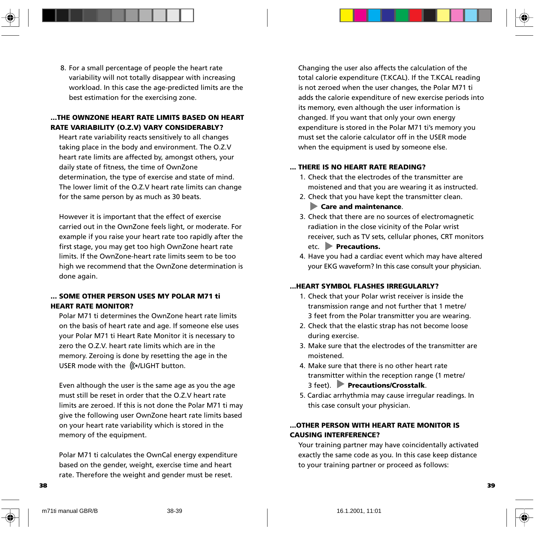8. For a small percentage of people the heart rate variability will not totally disappear with increasing workload. In this case the age-predicted limits are the best estimation for the exercising zone.

### **...THE OWNZONE HEART RATE LIMITS BASED ON HEART RATE VARIABILITY (O.Z.V) VARY CONSIDERABLY?**

Heart rate variability reacts sensitively to all changes taking place in the body and environment. The O.Z.V heart rate limits are affected by, amongst others, your daily state of fitness, the time of OwnZone determination, the type of exercise and state of mind. The lower limit of the O.Z.V heart rate limits can change for the same person by as much as 30 beats.

However it is important that the effect of exercise carried out in the OwnZone feels light, or moderate. For example if you raise your heart rate too rapidly after the first stage, you may get too high OwnZone heart rate limits. If the OwnZone-heart rate limits seem to be too high we recommend that the OwnZone determination is done again.

### **... SOME OTHER PERSON USES MY POLAR M71 ti HEART RATE MONITOR?**

Polar M71 ti determines the OwnZone heart rate limits on the basis of heart rate and age. If someone else uses your Polar M71 ti Heart Rate Monitor it is necessary to zero the O.Z.V. heart rate limits which are in the memory. Zeroing is done by resetting the age in the USER mode with the (((.LIGHT button.

Even although the user is the same age as you the age must still be reset in order that the O.Z.V heart rate limits are zeroed. If this is not done the Polar M71 ti may give the following user OwnZone heart rate limits based on your heart rate variability which is stored in the memory of the equipment.

Polar M71 ti calculates the OwnCal energy expenditure based on the gender, weight, exercise time and heart rate. Therefore the weight and gender must be reset.

Changing the user also affects the calculation of the total calorie expenditure (T.KCAL). If the T.KCAL reading is not zeroed when the user changes, the Polar M71 ti adds the calorie expenditure of new exercise periods into its memory, even although the user information is changed. If you want that only your own energy expenditure is stored in the Polar M71 ti's memory you must set the calorie calculator off in the USER mode when the equipment is used by someone else.

#### **... THERE IS NO HEART RATE READING?**

- 1. Check that the electrodes of the transmitter are moistened and that you are wearing it as instructed.
- 2. Check that you have kept the transmitter clean.  **Care and maintenance**.
- 3. Check that there are no sources of electromagnetic radiation in the close vicinity of the Polar wrist receiver, such as TV sets, cellular phones, CRT monitors etc. **Precautions.**
- 4. Have you had a cardiac event which may have altered your EKG waveform? In this case consult your physician.

#### **...HEART SYMBOL FLASHES IRREGULARLY?**

- 1. Check that your Polar wrist receiver is inside the transmission range and not further that 1 metre/ 3 feet from the Polar transmitter you are wearing.
- 2. Check that the elastic strap has not become loose during exercise.
- 3. Make sure that the electrodes of the transmitter are moistened.
- 4. Make sure that there is no other heart rate transmitter within the reception range (1 metre/ 3 feet). **Precautions/Crosstalk**.
- 5. Cardiac arrhythmia may cause irregular readings. In this case consult your physician.

#### **...OTHER PERSON WITH HEART RATE MONITOR IS CAUSING INTERFERENCE?**

Your training partner may have coincidentally activated exactly the same code as you. In this case keep distance to your training partner or proceed as follows:

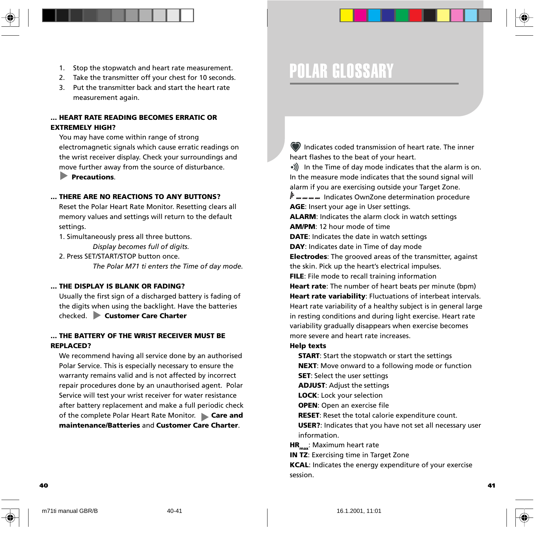- 1. Stop the stopwatch and heart rate measurement.
- 2. Take the transmitter off your chest for 10 seconds.
- 3. Put the transmitter back and start the heart rate measurement again.

### **... HEART RATE READING BECOMES ERRATIC OR EXTREMELY HIGH?**

You may have come within range of strong electromagnetic signals which cause erratic readings on the wrist receiver display. Check your surroundings and move further away from the source of disturbance.

 **Precautions**.

#### **... THERE ARE NO REACTIONS TO ANY BUTTONS?**

Reset the Polar Heart Rate Monitor. Resetting clears all memory values and settings will return to the default settings.

1. Simultaneously press all three buttons.

*Display becomes full of digits.*

2. Press SET/START/STOP button once. *The Polar M71 ti enters the Time of day mode.*

#### **... THE DISPLAY IS BLANK OR FADING?**

Usually the first sign of a discharged battery is fading of the digits when using the backlight. Have the batteries checked. **Customer Care Charter**

#### **... THE BATTERY OF THE WRIST RECEIVER MUST BE REPLACED?**

We recommend having all service done by an authorised Polar Service. This is especially necessary to ensure the warranty remains valid and is not affected by incorrect repair procedures done by an unauthorised agent. Polar Service will test your wrist receiver for water resistance after battery replacement and make a full periodic check of the complete Polar Heart Rate Monitor. **Care and maintenance/Batteries** and **Customer Care Charter**.

## POLAR GLOSSARY

 Indicates coded transmission of heart rate. The inner heart flashes to the beat of your heart.

•)) In the Time of day mode indicates that the alarm is on. In the measure mode indicates that the sound signal will alarm if you are exercising outside your Target Zone.

 $\frac{1}{2}$  m m m m lndicates OwnZone determination procedure **AGE**: Insert your age in User settings.

**ALARM**: Indicates the alarm clock in watch settings **AM/PM**: 12 hour mode of time

**DATE**: Indicates the date in watch settings

**DAY**: Indicates date in Time of day mode

**Electrodes**: The grooved areas of the transmitter, against the skin. Pick up the heart's electrical impulses.

**FILE**: File mode to recall training information

**Heart rate**: The number of heart beats per minute (bpm) **Heart rate variability**: Fluctuations of interbeat intervals. Heart rate variability of a healthy subject is in general large in resting conditions and during light exercise. Heart rate variability gradually disappears when exercise becomes more severe and heart rate increases.

#### **Help texts**

**START**: Start the stopwatch or start the settings

**NEXT**: Move onward to a following mode or function **SET**: Select the user settings

**ADJUST**: Adjust the settings

**LOCK**: Lock your selection

**OPEN**: Open an exercise file

**RESET**: Reset the total calorie expenditure count.

**USER?**: Indicates that you have not set all necessary user information.

**HR**<sub>max:</sub> Maximum heart rate

**IN TZ: Exercising time in Target Zone** 

**KCAL**: Indicates the energy expenditure of your exercise session.

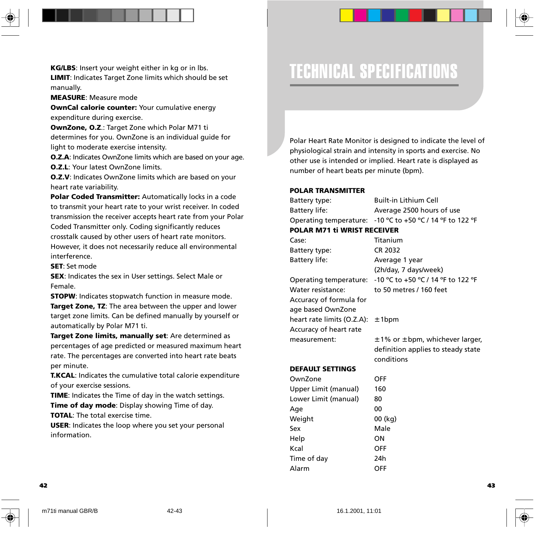

#### **MEASURE**: Measure mode

**OwnCal calorie counter:** Your cumulative energy expenditure during exercise.

**OwnZone, O.Z**.: Target Zone which Polar M71 ti determines for you. OwnZone is an individual guide for light to moderate exercise intensity.

**O.Z.A**: Indicates OwnZone limits which are based on your age. **O.Z.L**: Your latest OwnZone limits.

**O.Z.V**: Indicates OwnZone limits which are based on your heart rate variability.

**Polar Coded Transmitter:** Automatically locks in a code to transmit your heart rate to your wrist receiver. In coded transmission the receiver accepts heart rate from your Polar Coded Transmitter only. Coding significantly reduces crosstalk caused by other users of heart rate monitors. However, it does not necessarily reduce all environmental interference.

**SET**: Set mode

**SEX**: Indicates the sex in User settings. Select Male or Female.

**STOPW**: Indicates stopwatch function in measure mode.

**Target Zone, TZ**: The area between the upper and lower target zone limits. Can be defined manually by yourself or automatically by Polar M71 ti.

**Target Zone limits, manually set**: Are determined as percentages of age predicted or measured maximum heart rate. The percentages are converted into heart rate beats per minute.

**T.KCAL**: Indicates the cumulative total calorie expenditure of your exercise sessions.

**TIME**: Indicates the Time of day in the watch settings. **Time of day mode**: Display showing Time of day. **TOTAL**: The total exercise time.

**USER**: Indicates the loop where you set your personal information.

## TECHNICAL SPECIFICATIONS

Polar Heart Rate Monitor is designed to indicate the level of physiological strain and intensity in sports and exercise. No other use is intended or implied. Heart rate is displayed as number of heart beats per minute (bpm).

#### **POLAR TRANSMITTER**

Battery type: Built-in Lithium Cell Battery life: Average 2500 hours of use Operating temperature: -10 ºC to +50 ºC / 14 ºF to 122 ºF

### **POLAR M71 ti WRIST RECEIVER**

| Case:                                 | Titanium                                 |
|---------------------------------------|------------------------------------------|
| Battery type:                         | CR 2032                                  |
| Battery life:                         | Average 1 year                           |
|                                       | (2h/day, 7 days/week)                    |
| Operating temperature:                | -10 °C to +50 °C / 14 °F to 122 °F       |
| Water resistance:                     | to 50 metres / 160 feet                  |
| Accuracy of formula for               |                                          |
| age based OwnZone                     |                                          |
| heart rate limits (O.Z.A): $\pm$ 1bpm |                                          |
| Accuracy of heart rate                |                                          |
| measurement:                          | $\pm$ 1% or $\pm$ bpm, whichever larger, |
|                                       | definition applies to steady state       |
|                                       | conditions                               |
|                                       |                                          |

### **DEFAULT SETTINGS**

OwnZone OFF Upper Limit (manual) 160 Lower Limit (manual) 80 Age 00 Weight 00 (kg) Sex Male Help ON Kcal OFF Time of day 24h Alarm OFF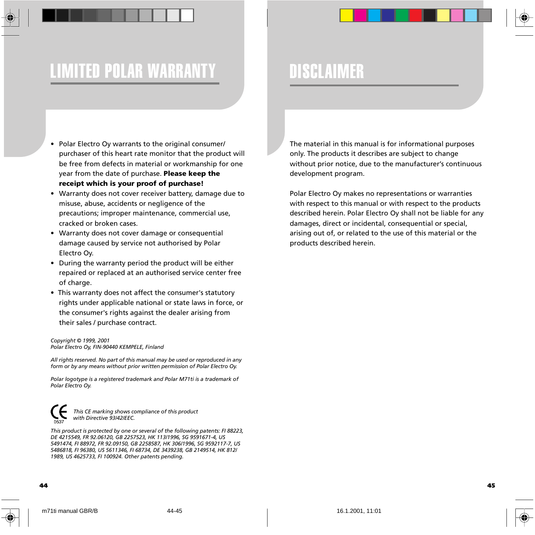## LIMITED POLAR WARRANTY DISCLAIMER

- Polar Electro Oy warrants to the original consumer/ purchaser of this heart rate monitor that the product will be free from defects in material or workmanship for one year from the date of purchase. **Please keep the receipt which is your proof of purchase!**
- Warranty does not cover receiver battery, damage due to misuse, abuse, accidents or negligence of the precautions; improper maintenance, commercial use, cracked or broken cases.
- Warranty does not cover damage or consequential damage caused by service not authorised by Polar Electro Oy.
- During the warranty period the product will be either repaired or replaced at an authorised service center free of charge.
- This warranty does not affect the consumer's statutory rights under applicable national or state laws in force, or the consumer's rights against the dealer arising from their sales / purchase contract.

#### *Copyright © 1999, 2001 Polar Electro Oy, FIN-90440 KEMPELE, Finland*

*All rights reserved. No part of this manual may be used or reproduced in any form or by any means without prior written permission of Polar Electro Oy.*

*Polar logotype is a registered trademark and Polar M71ti is a trademark of Polar Electro Oy.*



 *This CE marking shows compliance of this product with Directive 93/42/EEC.*

*This product is protected by one or several of the following patents: FI 88223, DE 4215549, FR 92.06120, GB 2257523, HK 113/1996, SG 9591671-4, US 5491474, FI 88972, FR 92.09150, GB 2258587, HK 306/1996, SG 9592117-7, US 5486818, FI 96380, US 5611346, FI 68734, DE 3439238, GB 2149514, HK 812/ 1989, US 4625733, FI 100924. Other patents pending.*

The material in this manual is for informational purposes only. The products it describes are subject to change without prior notice, due to the manufacturer's continuous development program.

Polar Electro Oy makes no representations or warranties with respect to this manual or with respect to the products described herein. Polar Electro Oy shall not be liable for any damages, direct or incidental, consequential or special, arising out of, or related to the use of this material or the products described herein.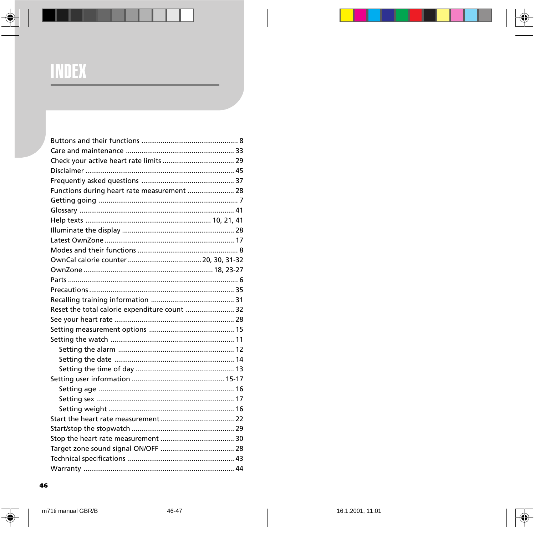## **INDEX**

| Functions during heart rate measurement  28   |  |
|-----------------------------------------------|--|
|                                               |  |
|                                               |  |
|                                               |  |
|                                               |  |
|                                               |  |
|                                               |  |
|                                               |  |
|                                               |  |
|                                               |  |
|                                               |  |
|                                               |  |
| Reset the total calorie expenditure count  32 |  |
|                                               |  |
|                                               |  |
|                                               |  |
|                                               |  |
|                                               |  |
|                                               |  |
|                                               |  |
|                                               |  |
|                                               |  |
|                                               |  |
|                                               |  |
|                                               |  |
|                                               |  |
|                                               |  |
|                                               |  |
|                                               |  |

#### 46

♦

 $\bigcirc$